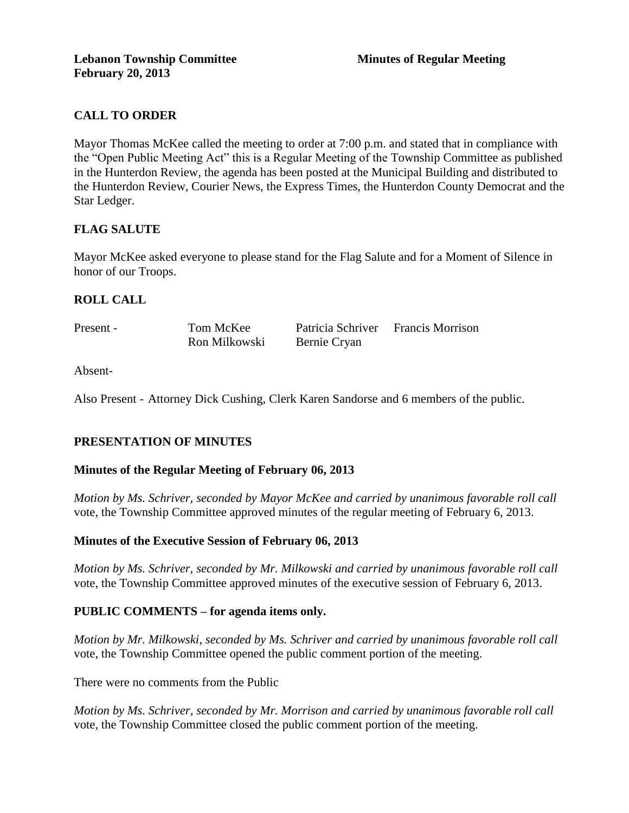# **CALL TO ORDER**

Mayor Thomas McKee called the meeting to order at 7:00 p.m. and stated that in compliance with the "Open Public Meeting Act" this is a Regular Meeting of the Township Committee as published in the Hunterdon Review, the agenda has been posted at the Municipal Building and distributed to the Hunterdon Review, Courier News, the Express Times, the Hunterdon County Democrat and the Star Ledger.

# **FLAG SALUTE**

Mayor McKee asked everyone to please stand for the Flag Salute and for a Moment of Silence in honor of our Troops.

## **ROLL CALL**

| Present - | Tom McKee     | Patricia Schriver | <b>Francis Morrison</b> |
|-----------|---------------|-------------------|-------------------------|
|           | Ron Milkowski | Bernie Cryan      |                         |

Absent-

Also Present - Attorney Dick Cushing, Clerk Karen Sandorse and 6 members of the public.

### **PRESENTATION OF MINUTES**

### **Minutes of the Regular Meeting of February 06, 2013**

*Motion by Ms. Schriver, seconded by Mayor McKee and carried by unanimous favorable roll call*  vote, the Township Committee approved minutes of the regular meeting of February 6, 2013.

### **Minutes of the Executive Session of February 06, 2013**

*Motion by Ms. Schriver, seconded by Mr. Milkowski and carried by unanimous favorable roll call*  vote, the Township Committee approved minutes of the executive session of February 6, 2013.

### **PUBLIC COMMENTS – for agenda items only.**

*Motion by Mr. Milkowski, seconded by Ms. Schriver and carried by unanimous favorable roll call*  vote*,* the Township Committee opened the public comment portion of the meeting.

There were no comments from the Public

*Motion by Ms. Schriver, seconded by Mr. Morrison and carried by unanimous favorable roll call*  vote*,* the Township Committee closed the public comment portion of the meeting.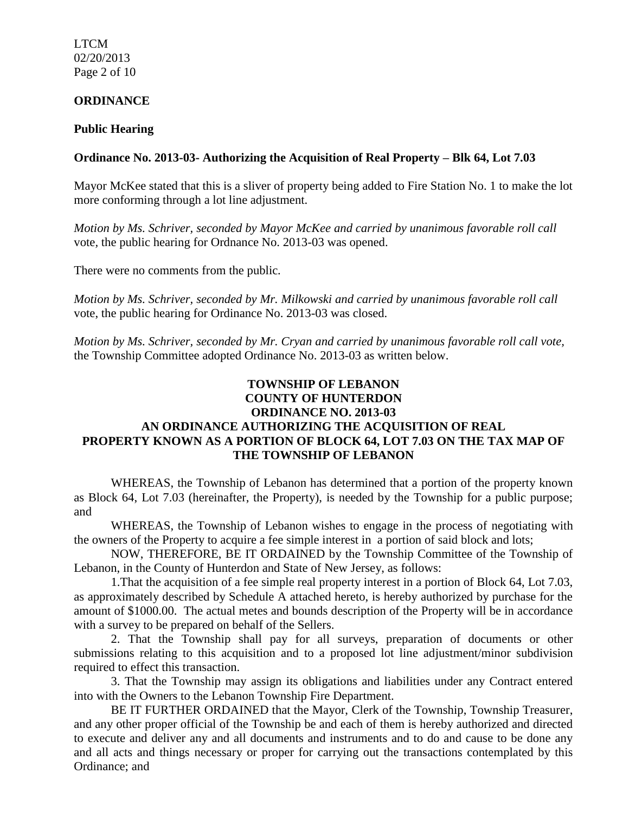LTCM 02/20/2013 Page 2 of 10

#### **ORDINANCE**

#### **Public Hearing**

#### **Ordinance No. 2013-03- Authorizing the Acquisition of Real Property – Blk 64, Lot 7.03**

Mayor McKee stated that this is a sliver of property being added to Fire Station No. 1 to make the lot more conforming through a lot line adjustment.

*Motion by Ms. Schriver, seconded by Mayor McKee and carried by unanimous favorable roll call*  vote*,* the public hearing for Ordnance No. 2013-03 was opened.

There were no comments from the public*.*

*Motion by Ms. Schriver, seconded by Mr. Milkowski and carried by unanimous favorable roll call*  vote, the public hearing for Ordinance No. 2013-03 was closed.

*Motion by Ms. Schriver, seconded by Mr. Cryan and carried by unanimous favorable roll call vote,* the Township Committee adopted Ordinance No. 2013-03 as written below.

# **TOWNSHIP OF LEBANON COUNTY OF HUNTERDON ORDINANCE NO. 2013-03 AN ORDINANCE AUTHORIZING THE ACQUISITION OF REAL PROPERTY KNOWN AS A PORTION OF BLOCK 64, LOT 7.03 ON THE TAX MAP OF THE TOWNSHIP OF LEBANON**

WHEREAS, the Township of Lebanon has determined that a portion of the property known as Block 64, Lot 7.03 (hereinafter, the Property), is needed by the Township for a public purpose; and

WHEREAS, the Township of Lebanon wishes to engage in the process of negotiating with the owners of the Property to acquire a fee simple interest in a portion of said block and lots;

NOW, THEREFORE, BE IT ORDAINED by the Township Committee of the Township of Lebanon, in the County of Hunterdon and State of New Jersey, as follows:

1.That the acquisition of a fee simple real property interest in a portion of Block 64, Lot 7.03, as approximately described by Schedule A attached hereto, is hereby authorized by purchase for the amount of \$1000.00. The actual metes and bounds description of the Property will be in accordance with a survey to be prepared on behalf of the Sellers.

2. That the Township shall pay for all surveys, preparation of documents or other submissions relating to this acquisition and to a proposed lot line adjustment/minor subdivision required to effect this transaction.

3. That the Township may assign its obligations and liabilities under any Contract entered into with the Owners to the Lebanon Township Fire Department.

BE IT FURTHER ORDAINED that the Mayor, Clerk of the Township, Township Treasurer, and any other proper official of the Township be and each of them is hereby authorized and directed to execute and deliver any and all documents and instruments and to do and cause to be done any and all acts and things necessary or proper for carrying out the transactions contemplated by this Ordinance; and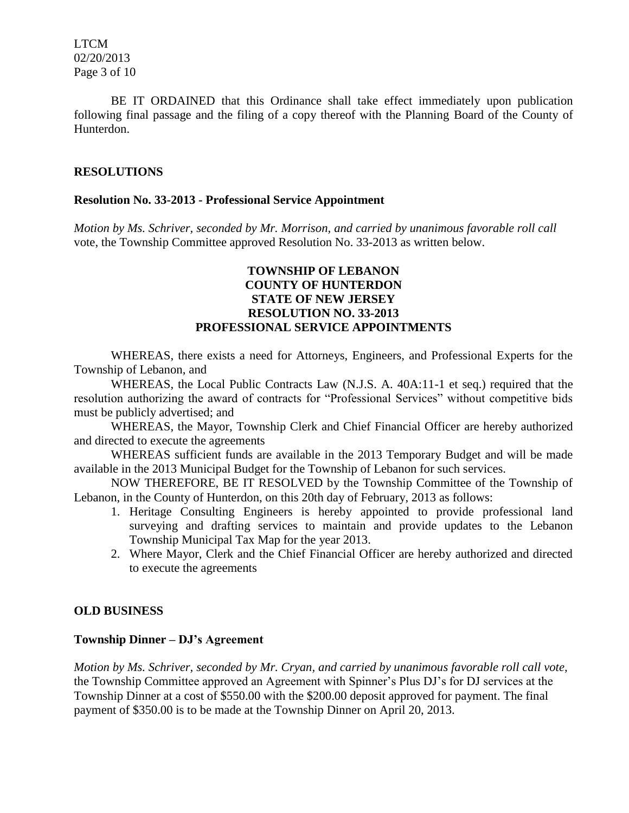LTCM 02/20/2013 Page 3 of 10

BE IT ORDAINED that this Ordinance shall take effect immediately upon publication following final passage and the filing of a copy thereof with the Planning Board of the County of Hunterdon.

## **RESOLUTIONS**

### **Resolution No. 33-2013 - Professional Service Appointment**

*Motion by Ms. Schriver, seconded by Mr. Morrison, and carried by unanimous favorable roll call*  vote, the Township Committee approved Resolution No. 33-2013 as written below.

## **TOWNSHIP OF LEBANON COUNTY OF HUNTERDON STATE OF NEW JERSEY RESOLUTION NO. 33-2013 PROFESSIONAL SERVICE APPOINTMENTS**

WHEREAS, there exists a need for Attorneys, Engineers, and Professional Experts for the Township of Lebanon, and

WHEREAS, the Local Public Contracts Law (N.J.S. A. 40A:11-1 et seq.) required that the resolution authorizing the award of contracts for "Professional Services" without competitive bids must be publicly advertised; and

WHEREAS, the Mayor, Township Clerk and Chief Financial Officer are hereby authorized and directed to execute the agreements

WHEREAS sufficient funds are available in the 2013 Temporary Budget and will be made available in the 2013 Municipal Budget for the Township of Lebanon for such services.

NOW THEREFORE, BE IT RESOLVED by the Township Committee of the Township of Lebanon, in the County of Hunterdon, on this 20th day of February, 2013 as follows:

- 1. Heritage Consulting Engineers is hereby appointed to provide professional land surveying and drafting services to maintain and provide updates to the Lebanon Township Municipal Tax Map for the year 2013.
- 2. Where Mayor, Clerk and the Chief Financial Officer are hereby authorized and directed to execute the agreements

### **OLD BUSINESS**

### **Township Dinner – DJ's Agreement**

*Motion by Ms. Schriver, seconded by Mr. Cryan, and carried by unanimous favorable roll call vote,* the Township Committee approved an Agreement with Spinner's Plus DJ's for DJ services at the Township Dinner at a cost of \$550.00 with the \$200.00 deposit approved for payment. The final payment of \$350.00 is to be made at the Township Dinner on April 20, 2013.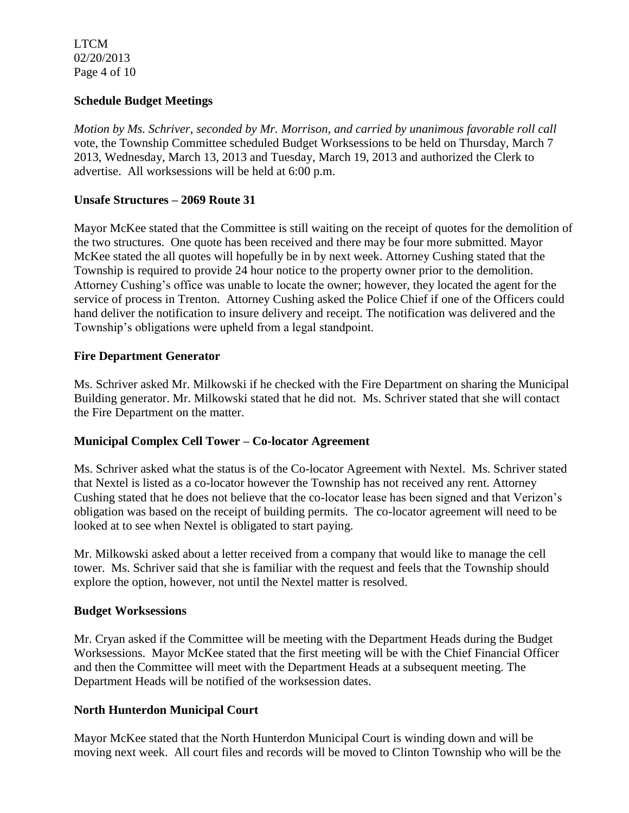LTCM 02/20/2013 Page 4 of 10

## **Schedule Budget Meetings**

*Motion by Ms. Schriver, seconded by Mr. Morrison, and carried by unanimous favorable roll call*  vote, the Township Committee scheduled Budget Worksessions to be held on Thursday, March 7 2013, Wednesday, March 13, 2013 and Tuesday, March 19, 2013 and authorized the Clerk to advertise. All worksessions will be held at 6:00 p.m.

## **Unsafe Structures – 2069 Route 31**

Mayor McKee stated that the Committee is still waiting on the receipt of quotes for the demolition of the two structures. One quote has been received and there may be four more submitted. Mayor McKee stated the all quotes will hopefully be in by next week. Attorney Cushing stated that the Township is required to provide 24 hour notice to the property owner prior to the demolition. Attorney Cushing's office was unable to locate the owner; however, they located the agent for the service of process in Trenton. Attorney Cushing asked the Police Chief if one of the Officers could hand deliver the notification to insure delivery and receipt. The notification was delivered and the Township's obligations were upheld from a legal standpoint.

## **Fire Department Generator**

Ms. Schriver asked Mr. Milkowski if he checked with the Fire Department on sharing the Municipal Building generator. Mr. Milkowski stated that he did not. Ms. Schriver stated that she will contact the Fire Department on the matter.

### **Municipal Complex Cell Tower – Co-locator Agreement**

Ms. Schriver asked what the status is of the Co-locator Agreement with Nextel. Ms. Schriver stated that Nextel is listed as a co-locator however the Township has not received any rent. Attorney Cushing stated that he does not believe that the co-locator lease has been signed and that Verizon's obligation was based on the receipt of building permits. The co-locator agreement will need to be looked at to see when Nextel is obligated to start paying.

Mr. Milkowski asked about a letter received from a company that would like to manage the cell tower. Ms. Schriver said that she is familiar with the request and feels that the Township should explore the option, however, not until the Nextel matter is resolved.

### **Budget Worksessions**

Mr. Cryan asked if the Committee will be meeting with the Department Heads during the Budget Worksessions. Mayor McKee stated that the first meeting will be with the Chief Financial Officer and then the Committee will meet with the Department Heads at a subsequent meeting. The Department Heads will be notified of the worksession dates.

### **North Hunterdon Municipal Court**

Mayor McKee stated that the North Hunterdon Municipal Court is winding down and will be moving next week. All court files and records will be moved to Clinton Township who will be the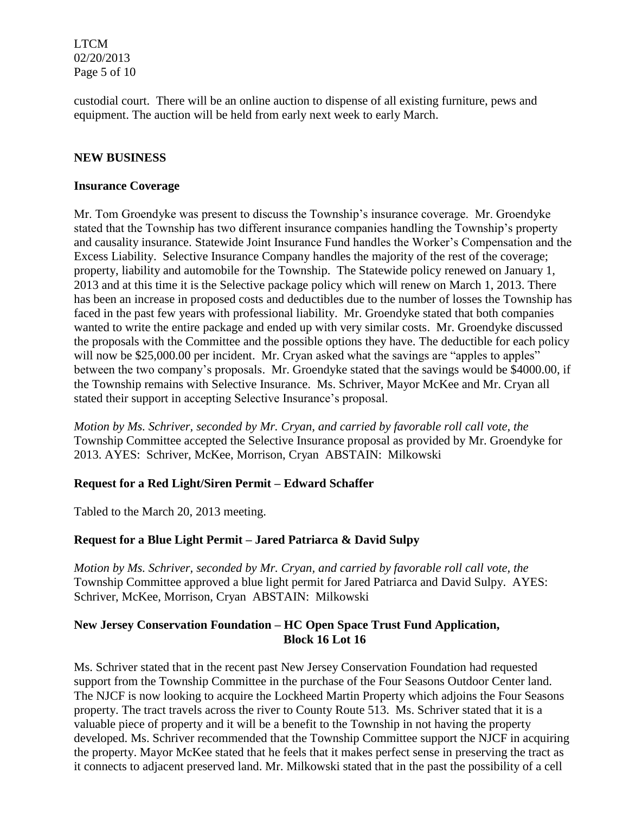LTCM 02/20/2013 Page 5 of 10

custodial court. There will be an online auction to dispense of all existing furniture, pews and equipment. The auction will be held from early next week to early March.

### **NEW BUSINESS**

#### **Insurance Coverage**

Mr. Tom Groendyke was present to discuss the Township's insurance coverage. Mr. Groendyke stated that the Township has two different insurance companies handling the Township's property and causality insurance. Statewide Joint Insurance Fund handles the Worker's Compensation and the Excess Liability. Selective Insurance Company handles the majority of the rest of the coverage; property, liability and automobile for the Township. The Statewide policy renewed on January 1, 2013 and at this time it is the Selective package policy which will renew on March 1, 2013. There has been an increase in proposed costs and deductibles due to the number of losses the Township has faced in the past few years with professional liability. Mr. Groendyke stated that both companies wanted to write the entire package and ended up with very similar costs. Mr. Groendyke discussed the proposals with the Committee and the possible options they have. The deductible for each policy will now be \$25,000.00 per incident. Mr. Cryan asked what the savings are "apples to apples" between the two company's proposals. Mr. Groendyke stated that the savings would be \$4000.00, if the Township remains with Selective Insurance. Ms. Schriver, Mayor McKee and Mr. Cryan all stated their support in accepting Selective Insurance's proposal.

*Motion by Ms. Schriver, seconded by Mr. Cryan, and carried by favorable roll call vote, the* Township Committee accepted the Selective Insurance proposal as provided by Mr. Groendyke for 2013. AYES: Schriver, McKee, Morrison, Cryan ABSTAIN: Milkowski

### **Request for a Red Light/Siren Permit – Edward Schaffer**

Tabled to the March 20, 2013 meeting.

# **Request for a Blue Light Permit – Jared Patriarca & David Sulpy**

*Motion by Ms. Schriver, seconded by Mr. Cryan, and carried by favorable roll call vote, the* Township Committee approved a blue light permit for Jared Patriarca and David Sulpy. AYES: Schriver, McKee, Morrison, Cryan ABSTAIN: Milkowski

## **New Jersey Conservation Foundation – HC Open Space Trust Fund Application, Block 16 Lot 16**

Ms. Schriver stated that in the recent past New Jersey Conservation Foundation had requested support from the Township Committee in the purchase of the Four Seasons Outdoor Center land. The NJCF is now looking to acquire the Lockheed Martin Property which adjoins the Four Seasons property. The tract travels across the river to County Route 513. Ms. Schriver stated that it is a valuable piece of property and it will be a benefit to the Township in not having the property developed. Ms. Schriver recommended that the Township Committee support the NJCF in acquiring the property. Mayor McKee stated that he feels that it makes perfect sense in preserving the tract as it connects to adjacent preserved land. Mr. Milkowski stated that in the past the possibility of a cell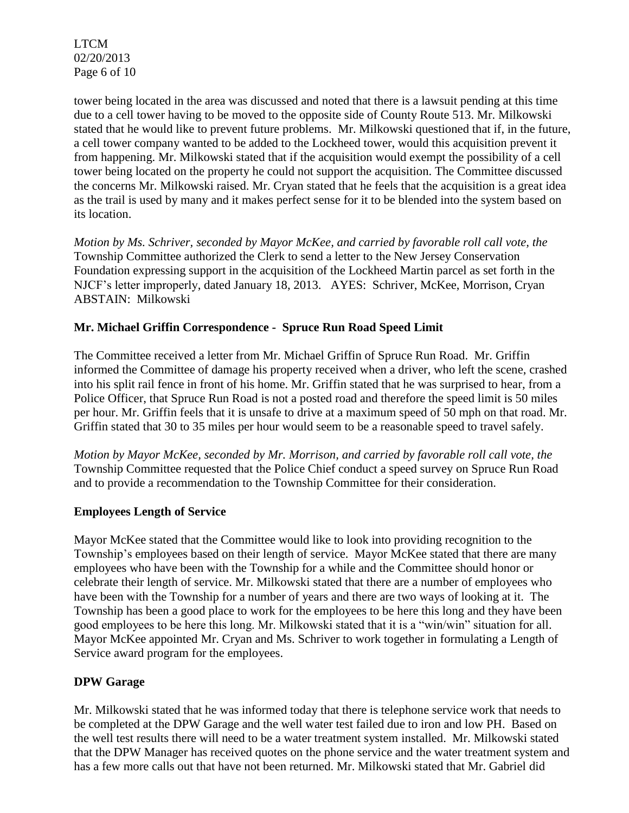LTCM 02/20/2013 Page 6 of 10

tower being located in the area was discussed and noted that there is a lawsuit pending at this time due to a cell tower having to be moved to the opposite side of County Route 513. Mr. Milkowski stated that he would like to prevent future problems. Mr. Milkowski questioned that if, in the future, a cell tower company wanted to be added to the Lockheed tower, would this acquisition prevent it from happening. Mr. Milkowski stated that if the acquisition would exempt the possibility of a cell tower being located on the property he could not support the acquisition. The Committee discussed the concerns Mr. Milkowski raised. Mr. Cryan stated that he feels that the acquisition is a great idea as the trail is used by many and it makes perfect sense for it to be blended into the system based on its location.

*Motion by Ms. Schriver, seconded by Mayor McKee, and carried by favorable roll call vote, the* Township Committee authorized the Clerk to send a letter to the New Jersey Conservation Foundation expressing support in the acquisition of the Lockheed Martin parcel as set forth in the NJCF's letter improperly, dated January 18, 2013. AYES: Schriver, McKee, Morrison, Cryan ABSTAIN: Milkowski

## **Mr. Michael Griffin Correspondence - Spruce Run Road Speed Limit**

The Committee received a letter from Mr. Michael Griffin of Spruce Run Road. Mr. Griffin informed the Committee of damage his property received when a driver, who left the scene, crashed into his split rail fence in front of his home. Mr. Griffin stated that he was surprised to hear, from a Police Officer, that Spruce Run Road is not a posted road and therefore the speed limit is 50 miles per hour. Mr. Griffin feels that it is unsafe to drive at a maximum speed of 50 mph on that road. Mr. Griffin stated that 30 to 35 miles per hour would seem to be a reasonable speed to travel safely.

*Motion by Mayor McKee, seconded by Mr. Morrison, and carried by favorable roll call vote, the* Township Committee requested that the Police Chief conduct a speed survey on Spruce Run Road and to provide a recommendation to the Township Committee for their consideration.

### **Employees Length of Service**

Mayor McKee stated that the Committee would like to look into providing recognition to the Township's employees based on their length of service. Mayor McKee stated that there are many employees who have been with the Township for a while and the Committee should honor or celebrate their length of service. Mr. Milkowski stated that there are a number of employees who have been with the Township for a number of years and there are two ways of looking at it. The Township has been a good place to work for the employees to be here this long and they have been good employees to be here this long. Mr. Milkowski stated that it is a "win/win" situation for all. Mayor McKee appointed Mr. Cryan and Ms. Schriver to work together in formulating a Length of Service award program for the employees.

### **DPW Garage**

Mr. Milkowski stated that he was informed today that there is telephone service work that needs to be completed at the DPW Garage and the well water test failed due to iron and low PH. Based on the well test results there will need to be a water treatment system installed. Mr. Milkowski stated that the DPW Manager has received quotes on the phone service and the water treatment system and has a few more calls out that have not been returned. Mr. Milkowski stated that Mr. Gabriel did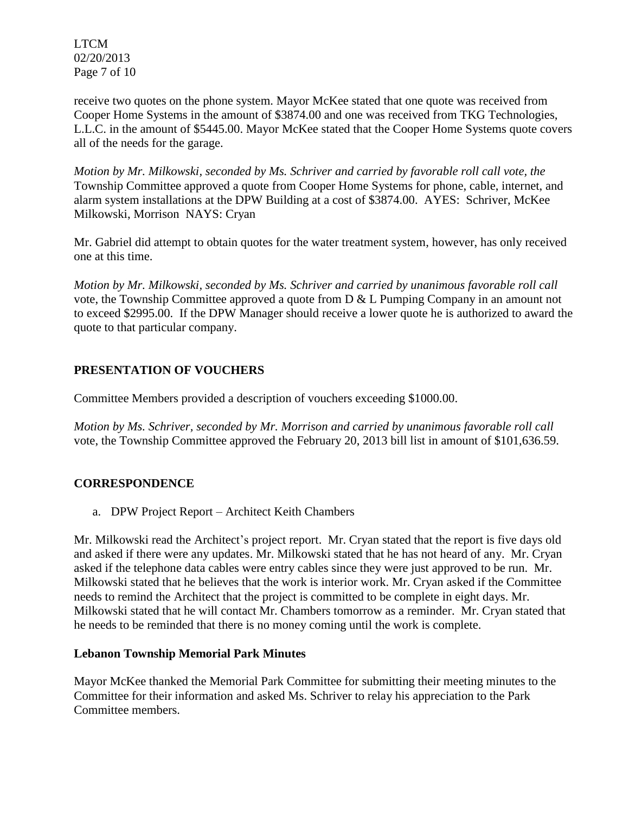LTCM 02/20/2013 Page 7 of 10

receive two quotes on the phone system. Mayor McKee stated that one quote was received from Cooper Home Systems in the amount of \$3874.00 and one was received from TKG Technologies, L.L.C. in the amount of \$5445.00. Mayor McKee stated that the Cooper Home Systems quote covers all of the needs for the garage.

*Motion by Mr. Milkowski, seconded by Ms. Schriver and carried by favorable roll call vote, the* Township Committee approved a quote from Cooper Home Systems for phone, cable, internet, and alarm system installations at the DPW Building at a cost of \$3874.00. AYES: Schriver, McKee Milkowski, Morrison NAYS: Cryan

Mr. Gabriel did attempt to obtain quotes for the water treatment system, however, has only received one at this time.

*Motion by Mr. Milkowski, seconded by Ms. Schriver and carried by unanimous favorable roll call*  vote, the Township Committee approved a quote from D & L Pumping Company in an amount not to exceed \$2995.00. If the DPW Manager should receive a lower quote he is authorized to award the quote to that particular company.

# **PRESENTATION OF VOUCHERS**

Committee Members provided a description of vouchers exceeding \$1000.00.

*Motion by Ms. Schriver, seconded by Mr. Morrison and carried by unanimous favorable roll call*  vote, the Township Committee approved the February 20, 2013 bill list in amount of \$101,636.59.

# **CORRESPONDENCE**

a. DPW Project Report – Architect Keith Chambers

Mr. Milkowski read the Architect's project report. Mr. Cryan stated that the report is five days old and asked if there were any updates. Mr. Milkowski stated that he has not heard of any. Mr. Cryan asked if the telephone data cables were entry cables since they were just approved to be run. Mr. Milkowski stated that he believes that the work is interior work. Mr. Cryan asked if the Committee needs to remind the Architect that the project is committed to be complete in eight days. Mr. Milkowski stated that he will contact Mr. Chambers tomorrow as a reminder. Mr. Cryan stated that he needs to be reminded that there is no money coming until the work is complete.

### **Lebanon Township Memorial Park Minutes**

Mayor McKee thanked the Memorial Park Committee for submitting their meeting minutes to the Committee for their information and asked Ms. Schriver to relay his appreciation to the Park Committee members.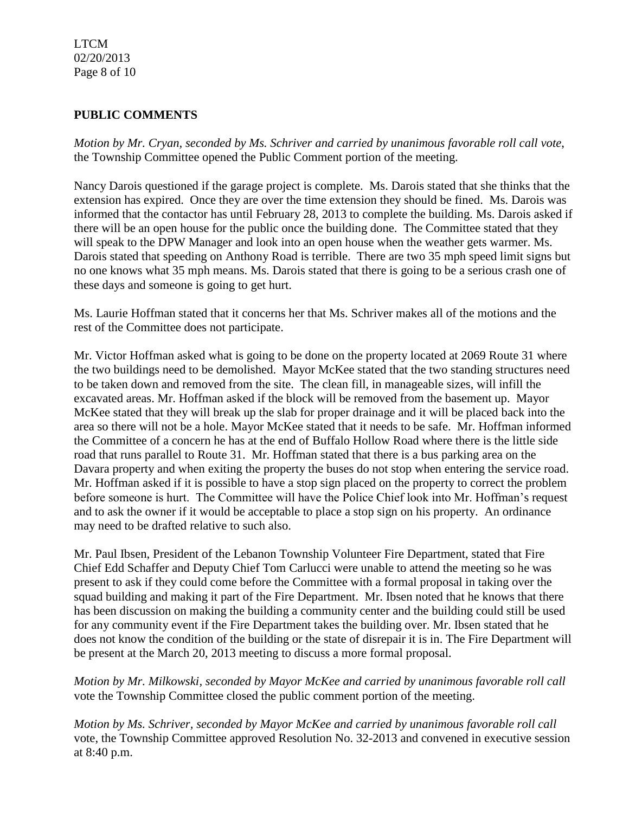### LTCM 02/20/2013 Page 8 of 10

## **PUBLIC COMMENTS**

*Motion by Mr. Cryan, seconded by Ms. Schriver and carried by unanimous favorable roll call vote*, the Township Committee opened the Public Comment portion of the meeting.

Nancy Darois questioned if the garage project is complete. Ms. Darois stated that she thinks that the extension has expired. Once they are over the time extension they should be fined. Ms. Darois was informed that the contactor has until February 28, 2013 to complete the building. Ms. Darois asked if there will be an open house for the public once the building done. The Committee stated that they will speak to the DPW Manager and look into an open house when the weather gets warmer. Ms. Darois stated that speeding on Anthony Road is terrible. There are two 35 mph speed limit signs but no one knows what 35 mph means. Ms. Darois stated that there is going to be a serious crash one of these days and someone is going to get hurt.

Ms. Laurie Hoffman stated that it concerns her that Ms. Schriver makes all of the motions and the rest of the Committee does not participate.

Mr. Victor Hoffman asked what is going to be done on the property located at 2069 Route 31 where the two buildings need to be demolished. Mayor McKee stated that the two standing structures need to be taken down and removed from the site. The clean fill, in manageable sizes, will infill the excavated areas. Mr. Hoffman asked if the block will be removed from the basement up. Mayor McKee stated that they will break up the slab for proper drainage and it will be placed back into the area so there will not be a hole. Mayor McKee stated that it needs to be safe. Mr. Hoffman informed the Committee of a concern he has at the end of Buffalo Hollow Road where there is the little side road that runs parallel to Route 31. Mr. Hoffman stated that there is a bus parking area on the Davara property and when exiting the property the buses do not stop when entering the service road. Mr. Hoffman asked if it is possible to have a stop sign placed on the property to correct the problem before someone is hurt. The Committee will have the Police Chief look into Mr. Hoffman's request and to ask the owner if it would be acceptable to place a stop sign on his property. An ordinance may need to be drafted relative to such also.

Mr. Paul Ibsen, President of the Lebanon Township Volunteer Fire Department, stated that Fire Chief Edd Schaffer and Deputy Chief Tom Carlucci were unable to attend the meeting so he was present to ask if they could come before the Committee with a formal proposal in taking over the squad building and making it part of the Fire Department. Mr. Ibsen noted that he knows that there has been discussion on making the building a community center and the building could still be used for any community event if the Fire Department takes the building over. Mr. Ibsen stated that he does not know the condition of the building or the state of disrepair it is in. The Fire Department will be present at the March 20, 2013 meeting to discuss a more formal proposal.

*Motion by Mr. Milkowski, seconded by Mayor McKee and carried by unanimous favorable roll call*  vote the Township Committee closed the public comment portion of the meeting.

*Motion by Ms. Schriver, seconded by Mayor McKee and carried by unanimous favorable roll call*  vote, the Township Committee approved Resolution No. 32-2013 and convened in executive session at 8:40 p.m.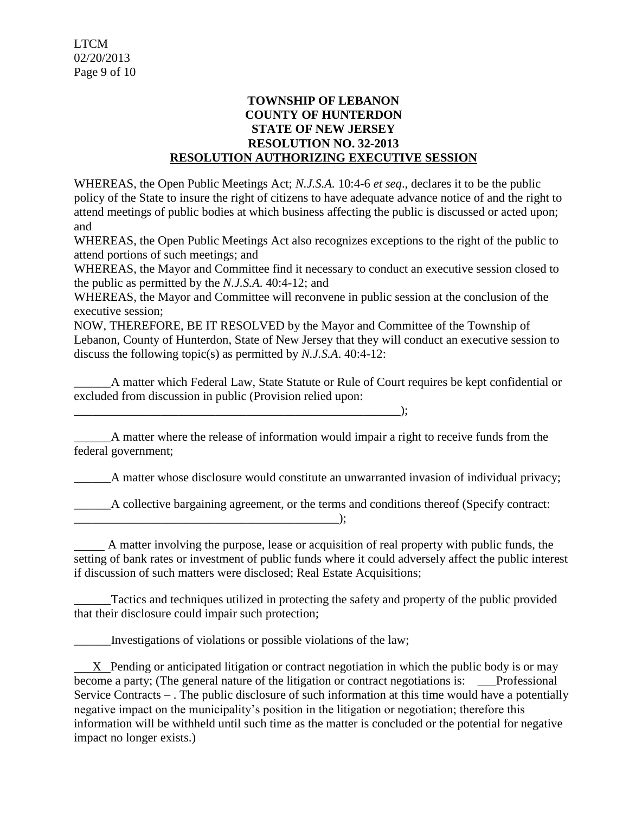## **TOWNSHIP OF LEBANON COUNTY OF HUNTERDON STATE OF NEW JERSEY RESOLUTION NO. 32-2013 RESOLUTION AUTHORIZING EXECUTIVE SESSION**

WHEREAS, the Open Public Meetings Act; *N.J.S.A.* 10:4-6 *et seq*., declares it to be the public policy of the State to insure the right of citizens to have adequate advance notice of and the right to attend meetings of public bodies at which business affecting the public is discussed or acted upon; and

WHEREAS, the Open Public Meetings Act also recognizes exceptions to the right of the public to attend portions of such meetings; and

WHEREAS, the Mayor and Committee find it necessary to conduct an executive session closed to the public as permitted by the *N.J.S.A*. 40:4-12; and

WHEREAS, the Mayor and Committee will reconvene in public session at the conclusion of the executive session;

NOW, THEREFORE, BE IT RESOLVED by the Mayor and Committee of the Township of Lebanon, County of Hunterdon, State of New Jersey that they will conduct an executive session to discuss the following topic(s) as permitted by *N.J.S.A*. 40:4-12:

\_\_\_\_\_\_A matter which Federal Law, State Statute or Rule of Court requires be kept confidential or excluded from discussion in public (Provision relied upon:

A matter where the release of information would impair a right to receive funds from the federal government;

\_\_\_\_\_\_\_\_\_\_\_\_\_\_\_\_\_\_\_\_\_\_\_\_\_\_\_\_\_\_\_\_\_\_\_\_\_\_\_\_\_\_\_\_\_\_\_\_\_\_\_\_\_);

\_\_\_\_\_\_A matter whose disclosure would constitute an unwarranted invasion of individual privacy;

A collective bargaining agreement, or the terms and conditions thereof (Specify contract:  $\blacksquare$ );

 A matter involving the purpose, lease or acquisition of real property with public funds, the setting of bank rates or investment of public funds where it could adversely affect the public interest if discussion of such matters were disclosed; Real Estate Acquisitions;

Tactics and techniques utilized in protecting the safety and property of the public provided that their disclosure could impair such protection;

Investigations of violations or possible violations of the law;

X Pending or anticipated litigation or contract negotiation in which the public body is or may become a party; (The general nature of the litigation or contract negotiations is: \_\_\_Professional Service Contracts – . The public disclosure of such information at this time would have a potentially negative impact on the municipality's position in the litigation or negotiation; therefore this information will be withheld until such time as the matter is concluded or the potential for negative impact no longer exists.)